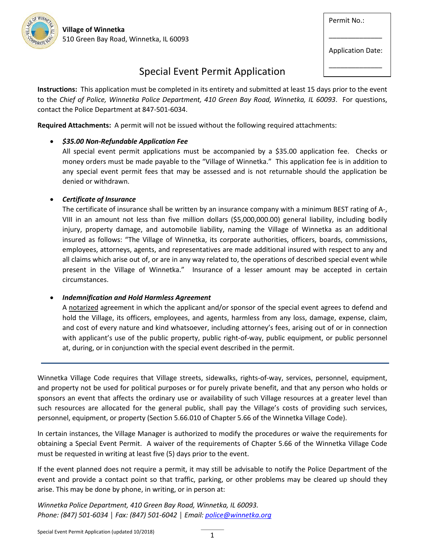OF WINNS

Permit No.:

Application Date:

\_\_\_\_\_\_\_\_\_\_\_\_\_\_

\_\_\_\_\_\_\_\_\_\_\_\_\_\_

# Special Event Permit Application

**Instructions:** This application must be completed in its entirety and submitted at least 15 days prior to the event to the *Chief of Police, Winnetka Police Department, 410 Green Bay Road, Winnetka, IL 60093*. For questions, contact the Police Department at 847-501-6034.

**Required Attachments:** A permit will not be issued without the following required attachments:

# • *\$35.00 Non-Refundable Application Fee*

All special event permit applications must be accompanied by a \$35.00 application fee. Checks or money orders must be made payable to the "Village of Winnetka." This application fee is in addition to any special event permit fees that may be assessed and is not returnable should the application be denied or withdrawn.

## • *Certificate of Insurance*

The certificate of insurance shall be written by an insurance company with a minimum BEST rating of A-, VIII in an amount not less than five million dollars (\$5,000,000.00) general liability, including bodily injury, property damage, and automobile liability, naming the Village of Winnetka as an additional insured as follows: "The Village of Winnetka, its corporate authorities, officers, boards, commissions, employees, attorneys, agents, and representatives are made additional insured with respect to any and all claims which arise out of, or are in any way related to, the operations of described special event while present in the Village of Winnetka." Insurance of a lesser amount may be accepted in certain circumstances.

## • *Indemnification and Hold Harmless Agreement*

A notarized agreement in which the applicant and/or sponsor of the special event agrees to defend and hold the Village, its officers, employees, and agents, harmless from any loss, damage, expense, claim, and cost of every nature and kind whatsoever, including attorney's fees, arising out of or in connection with applicant's use of the public property, public right-of-way, public equipment, or public personnel at, during, or in conjunction with the special event described in the permit.

Winnetka Village Code requires that Village streets, sidewalks, rights-of-way, services, personnel, equipment, and property not be used for political purposes or for purely private benefit, and that any person who holds or sponsors an event that affects the ordinary use or availability of such Village resources at a greater level than such resources are allocated for the general public, shall pay the Village's costs of providing such services, personnel, equipment, or property (Section 5.66.010 of Chapter 5.66 of the Winnetka Village Code).

In certain instances, the Village Manager is authorized to modify the procedures or waive the requirements for obtaining a Special Event Permit. A waiver of the requirements of Chapter 5.66 of the Winnetka Village Code must be requested in writing at least five (5) days prior to the event.

If the event planned does not require a permit, it may still be advisable to notify the Police Department of the event and provide a contact point so that traffic, parking, or other problems may be cleared up should they arise. This may be done by phone, in writing, or in person at:

*Winnetka Police Department, 410 Green Bay Road, Winnetka, IL 60093. Phone: (847) 501-6034 │ Fax: (847) 501-6042 │ Email: police@winnetka.org*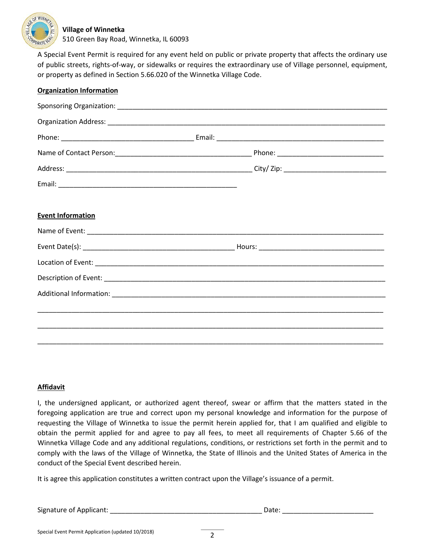

#### **Village of Winnetka**

510 Green Bay Road, Winnetka, IL 60093

A Special Event Permit is required for any event held on public or private property that affects the ordinary use of public streets, rights-of-way, or sidewalks or requires the extraordinary use of Village personnel, equipment, or property as defined in Section 5.66.020 of the Winnetka Village Code.

| <b>Organization Information</b> |  |  |  |
|---------------------------------|--|--|--|
|                                 |  |  |  |
|                                 |  |  |  |
|                                 |  |  |  |
|                                 |  |  |  |
|                                 |  |  |  |
|                                 |  |  |  |
|                                 |  |  |  |
| <b>Event Information</b>        |  |  |  |
|                                 |  |  |  |
|                                 |  |  |  |
|                                 |  |  |  |
|                                 |  |  |  |
|                                 |  |  |  |
|                                 |  |  |  |
|                                 |  |  |  |
|                                 |  |  |  |

#### **Affidavit**

I, the undersigned applicant, or authorized agent thereof, swear or affirm that the matters stated in the foregoing application are true and correct upon my personal knowledge and information for the purpose of requesting the Village of Winnetka to issue the permit herein applied for, that I am qualified and eligible to obtain the permit applied for and agree to pay all fees, to meet all requirements of Chapter 5.66 of the Winnetka Village Code and any additional regulations, conditions, or restrictions set forth in the permit and to comply with the laws of the Village of Winnetka, the State of Illinois and the United States of America in the conduct of the Special Event described herein.

It is agree this application constitutes a written contract upon the Village's issuance of a permit.

Signature of Applicant: \_\_\_\_\_\_\_\_\_\_\_\_\_\_\_\_\_\_\_\_\_\_\_\_\_\_\_\_\_\_\_\_\_\_\_\_\_\_\_\_ Date: \_\_\_\_\_\_\_\_\_\_\_\_\_\_\_\_\_\_\_\_\_\_\_\_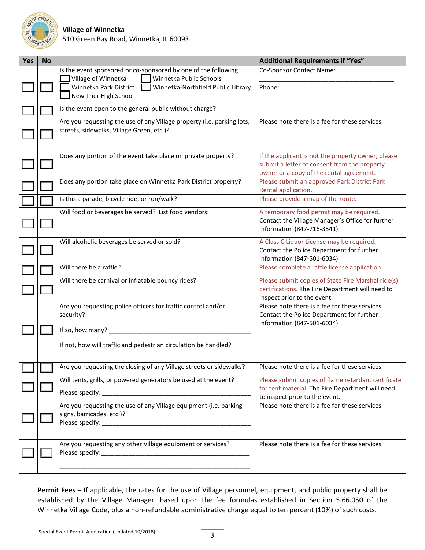

| Yes | <b>No</b> |                                                                                                                     | <b>Additional Requirements if "Yes"</b>                                                                                                        |
|-----|-----------|---------------------------------------------------------------------------------------------------------------------|------------------------------------------------------------------------------------------------------------------------------------------------|
|     |           | Is the event sponsored or co-sponsored by one of the following:<br>Village of Winnetka<br>Winnetka Public Schools   | Co-Sponsor Contact Name:                                                                                                                       |
|     |           | Winnetka Park District<br>Winnetka-Northfield Public Library<br>New Trier High School                               | Phone:                                                                                                                                         |
|     |           | Is the event open to the general public without charge?                                                             |                                                                                                                                                |
|     |           | Are you requesting the use of any Village property (i.e. parking lots,<br>streets, sidewalks, Village Green, etc.)? | Please note there is a fee for these services.                                                                                                 |
|     |           | Does any portion of the event take place on private property?                                                       | If the applicant is not the property owner, please<br>submit a letter of consent from the property<br>owner or a copy of the rental agreement. |
|     |           | Does any portion take place on Winnetka Park District property?                                                     | Please submit an approved Park District Park<br>Rental application.                                                                            |
|     |           | Is this a parade, bicycle ride, or run/walk?                                                                        | Please provide a map of the route.                                                                                                             |
|     |           | Will food or beverages be served? List food vendors:                                                                | A temporary food permit may be required.<br>Contact the Village Manager's Office for further<br>information (847-716-3541).                    |
|     |           | Will alcoholic beverages be served or sold?                                                                         | A Class C Liquor License may be required.<br>Contact the Police Department for further<br>information (847-501-6034).                          |
|     |           | Will there be a raffle?                                                                                             | Please complete a raffle license application.                                                                                                  |
|     |           | Will there be carnival or inflatable bouncy rides?                                                                  | Please submit copies of State Fire Marshal ride(s)<br>certifications. The Fire Department will need to<br>inspect prior to the event.          |
|     |           | Are you requesting police officers for traffic control and/or<br>security?                                          | Please note there is a fee for these services.<br>Contact the Police Department for further<br>information (847-501-6034).                     |
|     |           | If so, how many? _                                                                                                  |                                                                                                                                                |
|     |           | If not, how will traffic and pedestrian circulation be handled?                                                     |                                                                                                                                                |
|     |           | Are you requesting the closing of any Village streets or sidewalks?                                                 | Please note there is a fee for these services.                                                                                                 |
|     |           | Will tents, grills, or powered generators be used at the event?                                                     | Please submit copies of flame retardant certificate                                                                                            |
|     |           |                                                                                                                     | for tent material. The Fire Department will need<br>to inspect prior to the event.                                                             |
|     |           | Are you requesting the use of any Village equipment (i.e. parking<br>signs, barricades, etc.)?                      | Please note there is a fee for these services.                                                                                                 |
|     |           | Are you requesting any other Village equipment or services?                                                         | Please note there is a fee for these services.                                                                                                 |

**Permit Fees** – If applicable, the rates for the use of Village personnel, equipment, and public property shall be established by the Village Manager, based upon the fee formulas established in Section 5.66.050 of the Winnetka Village Code, plus a non-refundable administrative charge equal to ten percent (10%) of such costs.